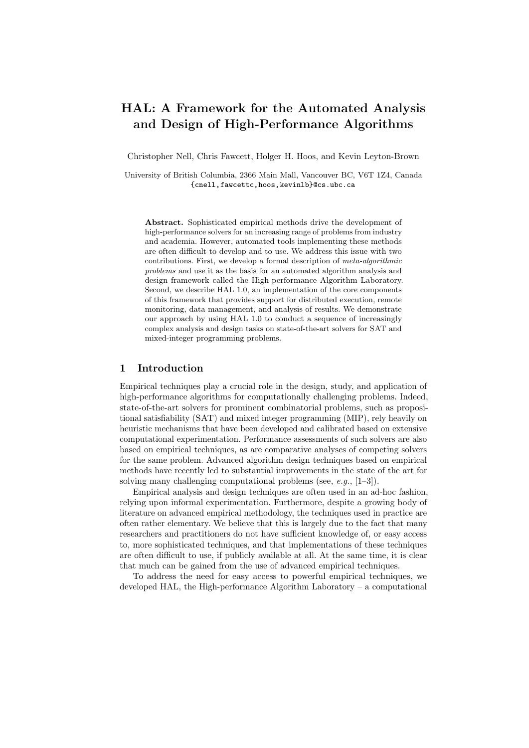# HAL: A Framework for the Automated Analysis and Design of High-Performance Algorithms

Christopher Nell, Chris Fawcett, Holger H. Hoos, and Kevin Leyton-Brown

University of British Columbia, 2366 Main Mall, Vancouver BC, V6T 1Z4, Canada {cnell,fawcettc,hoos,kevinlb}@cs.ubc.ca

Abstract. Sophisticated empirical methods drive the development of high-performance solvers for an increasing range of problems from industry and academia. However, automated tools implementing these methods are often difficult to develop and to use. We address this issue with two contributions. First, we develop a formal description of meta-algorithmic problems and use it as the basis for an automated algorithm analysis and design framework called the High-performance Algorithm Laboratory. Second, we describe HAL 1.0, an implementation of the core components of this framework that provides support for distributed execution, remote monitoring, data management, and analysis of results. We demonstrate our approach by using HAL 1.0 to conduct a sequence of increasingly complex analysis and design tasks on state-of-the-art solvers for SAT and mixed-integer programming problems.

# 1 Introduction

Empirical techniques play a crucial role in the design, study, and application of high-performance algorithms for computationally challenging problems. Indeed, state-of-the-art solvers for prominent combinatorial problems, such as propositional satisfiability (SAT) and mixed integer programming (MIP), rely heavily on heuristic mechanisms that have been developed and calibrated based on extensive computational experimentation. Performance assessments of such solvers are also based on empirical techniques, as are comparative analyses of competing solvers for the same problem. Advanced algorithm design techniques based on empirical methods have recently led to substantial improvements in the state of the art for solving many challenging computational problems (see,  $e.g., [1-3]$ ).

Empirical analysis and design techniques are often used in an ad-hoc fashion, relying upon informal experimentation. Furthermore, despite a growing body of literature on advanced empirical methodology, the techniques used in practice are often rather elementary. We believe that this is largely due to the fact that many researchers and practitioners do not have sufficient knowledge of, or easy access to, more sophisticated techniques, and that implementations of these techniques are often difficult to use, if publicly available at all. At the same time, it is clear that much can be gained from the use of advanced empirical techniques.

To address the need for easy access to powerful empirical techniques, we developed HAL, the High-performance Algorithm Laboratory – a computational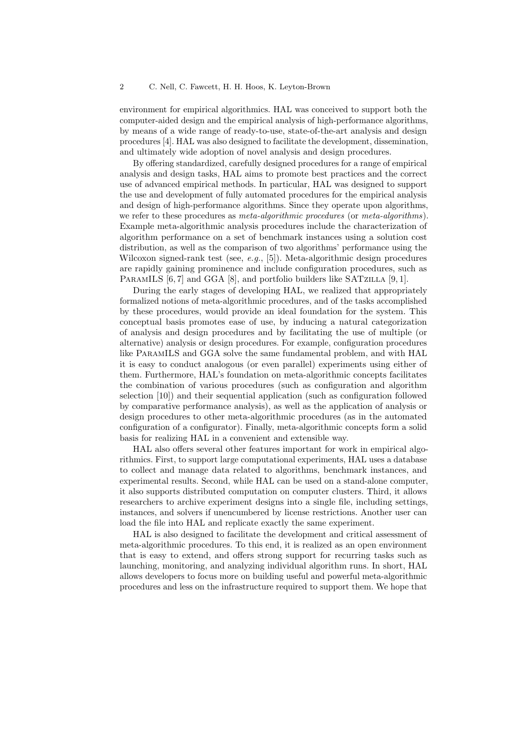environment for empirical algorithmics. HAL was conceived to support both the computer-aided design and the empirical analysis of high-performance algorithms, by means of a wide range of ready-to-use, state-of-the-art analysis and design procedures [4]. HAL was also designed to facilitate the development, dissemination, and ultimately wide adoption of novel analysis and design procedures.

By offering standardized, carefully designed procedures for a range of empirical analysis and design tasks, HAL aims to promote best practices and the correct use of advanced empirical methods. In particular, HAL was designed to support the use and development of fully automated procedures for the empirical analysis and design of high-performance algorithms. Since they operate upon algorithms, we refer to these procedures as *meta-algorithmic procedures* (or *meta-algorithms*). Example meta-algorithmic analysis procedures include the characterization of algorithm performance on a set of benchmark instances using a solution cost distribution, as well as the comparison of two algorithms' performance using the Wilcoxon signed-rank test (see, e.g., [5]). Meta-algorithmic design procedures are rapidly gaining prominence and include configuration procedures, such as PARAMILS  $[6, 7]$  and GGA  $[8]$ , and portfolio builders like SATZILLA  $[9, 1]$ .

During the early stages of developing HAL, we realized that appropriately formalized notions of meta-algorithmic procedures, and of the tasks accomplished by these procedures, would provide an ideal foundation for the system. This conceptual basis promotes ease of use, by inducing a natural categorization of analysis and design procedures and by facilitating the use of multiple (or alternative) analysis or design procedures. For example, configuration procedures like ParamILS and GGA solve the same fundamental problem, and with HAL it is easy to conduct analogous (or even parallel) experiments using either of them. Furthermore, HAL's foundation on meta-algorithmic concepts facilitates the combination of various procedures (such as configuration and algorithm selection [10]) and their sequential application (such as configuration followed by comparative performance analysis), as well as the application of analysis or design procedures to other meta-algorithmic procedures (as in the automated configuration of a configurator). Finally, meta-algorithmic concepts form a solid basis for realizing HAL in a convenient and extensible way.

HAL also offers several other features important for work in empirical algorithmics. First, to support large computational experiments, HAL uses a database to collect and manage data related to algorithms, benchmark instances, and experimental results. Second, while HAL can be used on a stand-alone computer, it also supports distributed computation on computer clusters. Third, it allows researchers to archive experiment designs into a single file, including settings, instances, and solvers if unencumbered by license restrictions. Another user can load the file into HAL and replicate exactly the same experiment.

HAL is also designed to facilitate the development and critical assessment of meta-algorithmic procedures. To this end, it is realized as an open environment that is easy to extend, and offers strong support for recurring tasks such as launching, monitoring, and analyzing individual algorithm runs. In short, HAL allows developers to focus more on building useful and powerful meta-algorithmic procedures and less on the infrastructure required to support them. We hope that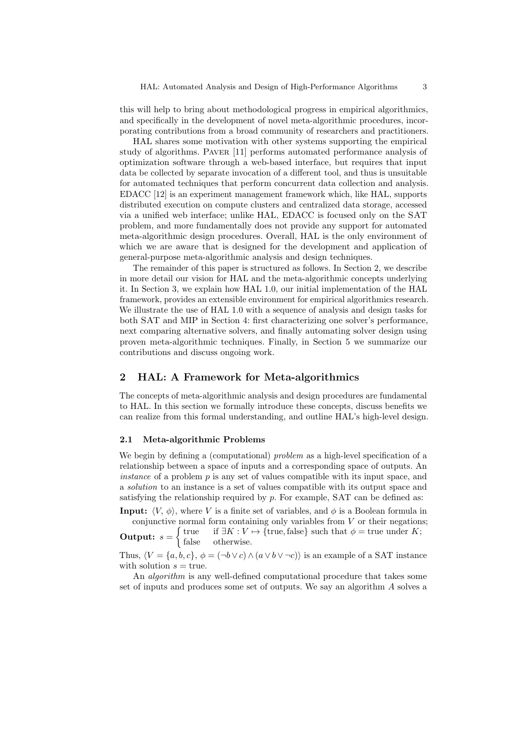this will help to bring about methodological progress in empirical algorithmics, and specifically in the development of novel meta-algorithmic procedures, incorporating contributions from a broad community of researchers and practitioners.

HAL shares some motivation with other systems supporting the empirical study of algorithms. Paver [11] performs automated performance analysis of optimization software through a web-based interface, but requires that input data be collected by separate invocation of a different tool, and thus is unsuitable for automated techniques that perform concurrent data collection and analysis. EDACC [12] is an experiment management framework which, like HAL, supports distributed execution on compute clusters and centralized data storage, accessed via a unified web interface; unlike HAL, EDACC is focused only on the SAT problem, and more fundamentally does not provide any support for automated meta-algorithmic design procedures. Overall, HAL is the only environment of which we are aware that is designed for the development and application of general-purpose meta-algorithmic analysis and design techniques.

The remainder of this paper is structured as follows. In Section 2, we describe in more detail our vision for HAL and the meta-algorithmic concepts underlying it. In Section 3, we explain how HAL 1.0, our initial implementation of the HAL framework, provides an extensible environment for empirical algorithmics research. We illustrate the use of HAL 1.0 with a sequence of analysis and design tasks for both SAT and MIP in Section 4: first characterizing one solver's performance, next comparing alternative solvers, and finally automating solver design using proven meta-algorithmic techniques. Finally, in Section 5 we summarize our contributions and discuss ongoing work.

# 2 HAL: A Framework for Meta-algorithmics

The concepts of meta-algorithmic analysis and design procedures are fundamental to HAL. In this section we formally introduce these concepts, discuss benefits we can realize from this formal understanding, and outline HAL's high-level design.

#### 2.1 Meta-algorithmic Problems

We begin by defining a (computational) *problem* as a high-level specification of a relationship between a space of inputs and a corresponding space of outputs. An *instance* of a problem  $p$  is any set of values compatible with its input space, and a solution to an instance is a set of values compatible with its output space and satisfying the relationship required by  $p$ . For example, SAT can be defined as:

**Input:**  $\langle V, \phi \rangle$ , where V is a finite set of variables, and  $\phi$  is a Boolean formula in conjunctive normal form containing only variables from  $V$  or their negations;

**Output:**  $s = \begin{cases} \text{true} & \text{if } \exists K : V \mapsto \{\text{true}, \text{false}\} \text{ such that } \phi = \text{true} \text{ under } K; \\ \text{false} & \text{otherwise.} \end{cases}$ false otherwise.

Thus,  $\langle V = {a, b, c}, \phi = (\neg b \lor c) \land (a \lor b \lor \neg c) \rangle$  is an example of a SAT instance with solution  $s = \text{true}$ .

An algorithm is any well-defined computational procedure that takes some set of inputs and produces some set of outputs. We say an algorithm A solves a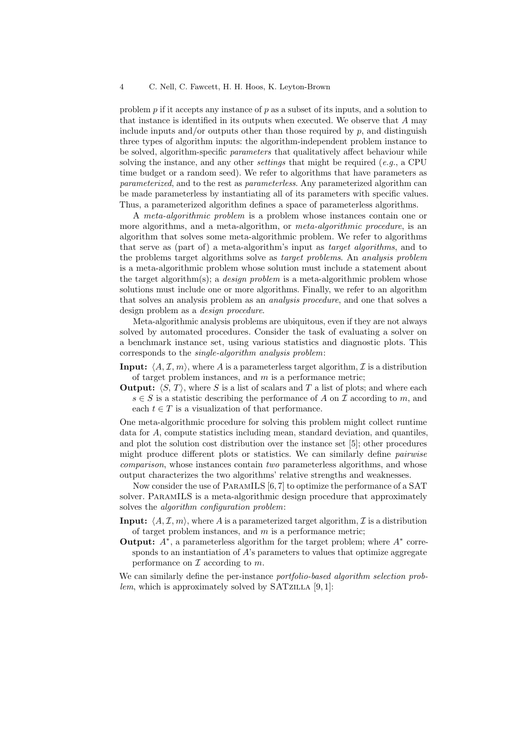problem  $p$  if it accepts any instance of  $p$  as a subset of its inputs, and a solution to that instance is identified in its outputs when executed. We observe that A may include inputs and/or outputs other than those required by  $p$ , and distinguish three types of algorithm inputs: the algorithm-independent problem instance to be solved, algorithm-specific *parameters* that qualitatively affect behaviour while solving the instance, and any other *settings* that might be required (e.g., a CPU time budget or a random seed). We refer to algorithms that have parameters as parameterized, and to the rest as parameterless. Any parameterized algorithm can be made parameterless by instantiating all of its parameters with specific values. Thus, a parameterized algorithm defines a space of parameterless algorithms.

A meta-algorithmic problem is a problem whose instances contain one or more algorithms, and a meta-algorithm, or *meta-algorithmic procedure*, is an algorithm that solves some meta-algorithmic problem. We refer to algorithms that serve as (part of) a meta-algorithm's input as target algorithms, and to the problems target algorithms solve as target problems. An analysis problem is a meta-algorithmic problem whose solution must include a statement about the target algorithm(s); a *design problem* is a meta-algorithmic problem whose solutions must include one or more algorithms. Finally, we refer to an algorithm that solves an analysis problem as an analysis procedure, and one that solves a design problem as a design procedure.

Meta-algorithmic analysis problems are ubiquitous, even if they are not always solved by automated procedures. Consider the task of evaluating a solver on a benchmark instance set, using various statistics and diagnostic plots. This corresponds to the single-algorithm analysis problem:

- **Input:**  $\langle A, \mathcal{I}, m \rangle$ , where A is a parameterless target algorithm, I is a distribution of target problem instances, and  $m$  is a performance metric;
- **Output:**  $\langle S, T \rangle$ , where S is a list of scalars and T a list of plots; and where each  $s \in S$  is a statistic describing the performance of A on I according to m, and each  $t \in T$  is a visualization of that performance.

One meta-algorithmic procedure for solving this problem might collect runtime data for A, compute statistics including mean, standard deviation, and quantiles, and plot the solution cost distribution over the instance set [5]; other procedures might produce different plots or statistics. We can similarly define pairwise comparison, whose instances contain two parameterless algorithms, and whose output characterizes the two algorithms' relative strengths and weaknesses.

Now consider the use of ParamILS [6, 7] to optimize the performance of a SAT solver. ParamILS is a meta-algorithmic design procedure that approximately solves the algorithm configuration problem:

- **Input:**  $\langle A, \mathcal{I}, m \rangle$ , where A is a parameterized target algorithm, I is a distribution of target problem instances, and  $m$  is a performance metric;
- Output:  $A^*$ , a parameterless algorithm for the target problem; where  $A^*$  corresponds to an instantiation of  $\vec{A}$ 's parameters to values that optimize aggregate performance on  $\mathcal I$  according to  $m$ .

We can similarly define the per-instance portfolio-based algorithm selection prob*lem*, which is approximately solved by SATZILLA  $[9, 1]$ :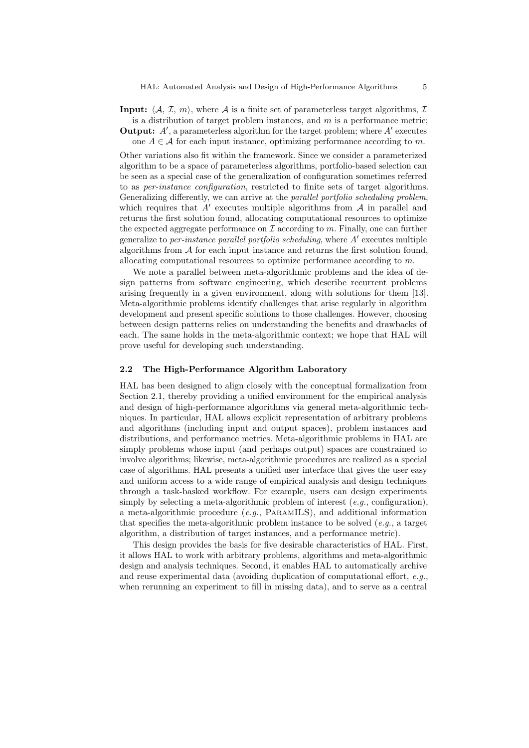**Input:**  $\langle A, \mathcal{I}, m \rangle$ , where A is a finite set of parameterless target algorithms, I is a distribution of target problem instances, and  $m$  is a performance metric; **Output:**  $A'$ , a parameterless algorithm for the target problem; where  $A'$  executes

one  $A \in \mathcal{A}$  for each input instance, optimizing performance according to m. Other variations also fit within the framework. Since we consider a parameterized algorithm to be a space of parameterless algorithms, portfolio-based selection can be seen as a special case of the generalization of configuration sometimes referred to as per-instance configuration, restricted to finite sets of target algorithms. Generalizing differently, we can arrive at the *parallel portfolio scheduling problem*, which requires that  $A'$  executes multiple algorithms from  $A$  in parallel and returns the first solution found, allocating computational resources to optimize the expected aggregate performance on  $\mathcal I$  according to  $m$ . Finally, one can further generalize to *per-instance parallel portfolio scheduling*, where  $A'$  executes multiple algorithms from  $A$  for each input instance and returns the first solution found, allocating computational resources to optimize performance according to  $m$ .

We note a parallel between meta-algorithmic problems and the idea of design patterns from software engineering, which describe recurrent problems arising frequently in a given environment, along with solutions for them [13]. Meta-algorithmic problems identify challenges that arise regularly in algorithm development and present specific solutions to those challenges. However, choosing between design patterns relies on understanding the benefits and drawbacks of each. The same holds in the meta-algorithmic context; we hope that HAL will prove useful for developing such understanding.

#### 2.2 The High-Performance Algorithm Laboratory

HAL has been designed to align closely with the conceptual formalization from Section 2.1, thereby providing a unified environment for the empirical analysis and design of high-performance algorithms via general meta-algorithmic techniques. In particular, HAL allows explicit representation of arbitrary problems and algorithms (including input and output spaces), problem instances and distributions, and performance metrics. Meta-algorithmic problems in HAL are simply problems whose input (and perhaps output) spaces are constrained to involve algorithms; likewise, meta-algorithmic procedures are realized as a special case of algorithms. HAL presents a unified user interface that gives the user easy and uniform access to a wide range of empirical analysis and design techniques through a task-basked workflow. For example, users can design experiments simply by selecting a meta-algorithmic problem of interest  $(e.g.,$  configuration), a meta-algorithmic procedure  $(e.g., \text{PARAMILS})$ , and additional information that specifies the meta-algorithmic problem instance to be solved  $(e.q., a \text{ target})$ algorithm, a distribution of target instances, and a performance metric).

This design provides the basis for five desirable characteristics of HAL. First, it allows HAL to work with arbitrary problems, algorithms and meta-algorithmic design and analysis techniques. Second, it enables HAL to automatically archive and reuse experimental data (avoiding duplication of computational effort, e.g., when rerunning an experiment to fill in missing data), and to serve as a central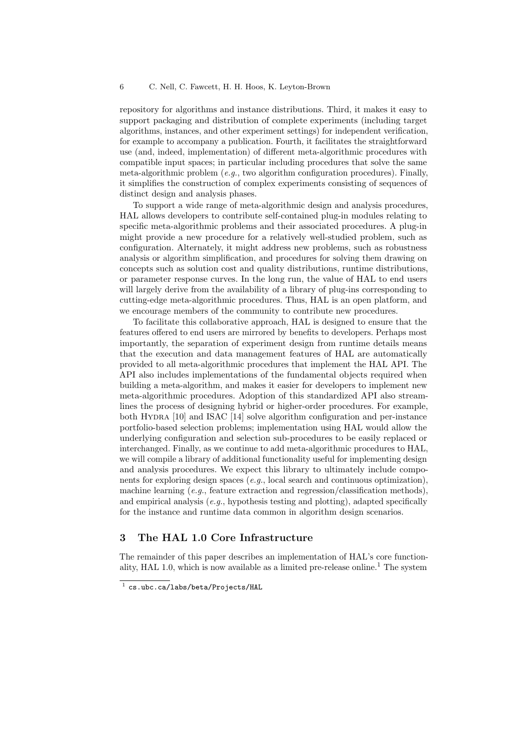repository for algorithms and instance distributions. Third, it makes it easy to support packaging and distribution of complete experiments (including target algorithms, instances, and other experiment settings) for independent verification, for example to accompany a publication. Fourth, it facilitates the straightforward use (and, indeed, implementation) of different meta-algorithmic procedures with compatible input spaces; in particular including procedures that solve the same meta-algorithmic problem  $(e.g., two algorithm configuration procedures)$ . Finally, it simplifies the construction of complex experiments consisting of sequences of distinct design and analysis phases.

To support a wide range of meta-algorithmic design and analysis procedures, HAL allows developers to contribute self-contained plug-in modules relating to specific meta-algorithmic problems and their associated procedures. A plug-in might provide a new procedure for a relatively well-studied problem, such as configuration. Alternately, it might address new problems, such as robustness analysis or algorithm simplification, and procedures for solving them drawing on concepts such as solution cost and quality distributions, runtime distributions, or parameter response curves. In the long run, the value of HAL to end users will largely derive from the availability of a library of plug-ins corresponding to cutting-edge meta-algorithmic procedures. Thus, HAL is an open platform, and we encourage members of the community to contribute new procedures.

To facilitate this collaborative approach, HAL is designed to ensure that the features offered to end users are mirrored by benefits to developers. Perhaps most importantly, the separation of experiment design from runtime details means that the execution and data management features of HAL are automatically provided to all meta-algorithmic procedures that implement the HAL API. The API also includes implementations of the fundamental objects required when building a meta-algorithm, and makes it easier for developers to implement new meta-algorithmic procedures. Adoption of this standardized API also streamlines the process of designing hybrid or higher-order procedures. For example, both HYDRA [10] and ISAC [14] solve algorithm configuration and per-instance portfolio-based selection problems; implementation using HAL would allow the underlying configuration and selection sub-procedures to be easily replaced or interchanged. Finally, as we continue to add meta-algorithmic procedures to HAL, we will compile a library of additional functionality useful for implementing design and analysis procedures. We expect this library to ultimately include components for exploring design spaces (e.g., local search and continuous optimization), machine learning (e.g., feature extraction and regression/classification methods), and empirical analysis  $(e, q, \mu)$ , hypothesis testing and plotting), adapted specifically for the instance and runtime data common in algorithm design scenarios.

# 3 The HAL 1.0 Core Infrastructure

The remainder of this paper describes an implementation of HAL's core functionality, HAL 1.0, which is now available as a limited pre-release online.<sup>1</sup> The system

 $^{\rm 1}$  cs.ubc.ca/labs/beta/Projects/HAL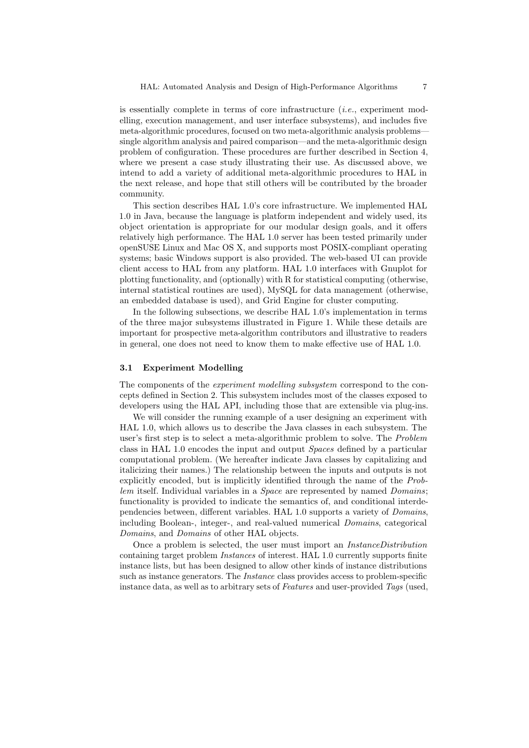is essentially complete in terms of core infrastructure (i.e., experiment modelling, execution management, and user interface subsystems), and includes five meta-algorithmic procedures, focused on two meta-algorithmic analysis problems single algorithm analysis and paired comparison—and the meta-algorithmic design problem of configuration. These procedures are further described in Section 4, where we present a case study illustrating their use. As discussed above, we intend to add a variety of additional meta-algorithmic procedures to HAL in the next release, and hope that still others will be contributed by the broader community.

This section describes HAL 1.0's core infrastructure. We implemented HAL 1.0 in Java, because the language is platform independent and widely used, its object orientation is appropriate for our modular design goals, and it offers relatively high performance. The HAL 1.0 server has been tested primarily under openSUSE Linux and Mac OS X, and supports most POSIX-compliant operating systems; basic Windows support is also provided. The web-based UI can provide client access to HAL from any platform. HAL 1.0 interfaces with Gnuplot for plotting functionality, and (optionally) with R for statistical computing (otherwise, internal statistical routines are used), MySQL for data management (otherwise, an embedded database is used), and Grid Engine for cluster computing.

In the following subsections, we describe HAL 1.0's implementation in terms of the three major subsystems illustrated in Figure 1. While these details are important for prospective meta-algorithm contributors and illustrative to readers in general, one does not need to know them to make effective use of HAL 1.0.

#### 3.1 Experiment Modelling

The components of the experiment modelling subsystem correspond to the concepts defined in Section 2. This subsystem includes most of the classes exposed to developers using the HAL API, including those that are extensible via plug-ins.

We will consider the running example of a user designing an experiment with HAL 1.0, which allows us to describe the Java classes in each subsystem. The user's first step is to select a meta-algorithmic problem to solve. The Problem class in HAL 1.0 encodes the input and output Spaces defined by a particular computational problem. (We hereafter indicate Java classes by capitalizing and italicizing their names.) The relationship between the inputs and outputs is not explicitly encoded, but is implicitly identified through the name of the Problem itself. Individual variables in a *Space* are represented by named *Domains*; functionality is provided to indicate the semantics of, and conditional interdependencies between, different variables. HAL 1.0 supports a variety of Domains, including Boolean-, integer-, and real-valued numerical Domains, categorical Domains, and Domains of other HAL objects.

Once a problem is selected, the user must import an InstanceDistribution containing target problem Instances of interest. HAL 1.0 currently supports finite instance lists, but has been designed to allow other kinds of instance distributions such as instance generators. The *Instance* class provides access to problem-specific instance data, as well as to arbitrary sets of Features and user-provided Tags (used,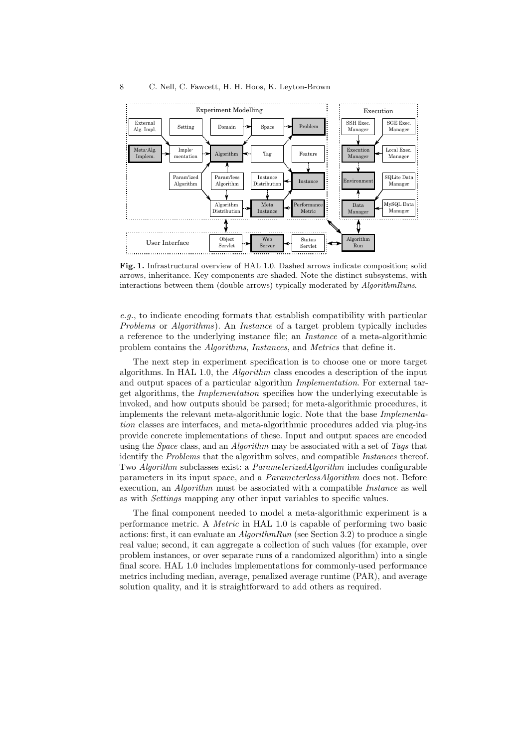

Fig. 1. Infrastructural overview of HAL 1.0. Dashed arrows indicate composition; solid arrows, inheritance. Key components are shaded. Note the distinct subsystems, with interactions between them (double arrows) typically moderated by AlgorithmRuns.

e.g., to indicate encoding formats that establish compatibility with particular Problems or Algorithms). An Instance of a target problem typically includes a reference to the underlying instance file; an Instance of a meta-algorithmic problem contains the Algorithms, Instances, and Metrics that define it.

The next step in experiment specification is to choose one or more target algorithms. In HAL 1.0, the Algorithm class encodes a description of the input and output spaces of a particular algorithm *Implementation*. For external target algorithms, the Implementation specifies how the underlying executable is invoked, and how outputs should be parsed; for meta-algorithmic procedures, it implements the relevant meta-algorithmic logic. Note that the base Implementation classes are interfaces, and meta-algorithmic procedures added via plug-ins provide concrete implementations of these. Input and output spaces are encoded using the *Space* class, and an *Algorithm* may be associated with a set of Tags that identify the Problems that the algorithm solves, and compatible Instances thereof. Two Algorithm subclasses exist: a ParameterizedAlgorithm includes configurable parameters in its input space, and a ParameterlessAlgorithm does not. Before execution, an Algorithm must be associated with a compatible Instance as well as with Settings mapping any other input variables to specific values.

The final component needed to model a meta-algorithmic experiment is a performance metric. A Metric in HAL 1.0 is capable of performing two basic actions: first, it can evaluate an AlgorithmRun (see Section 3.2) to produce a single real value; second, it can aggregate a collection of such values (for example, over problem instances, or over separate runs of a randomized algorithm) into a single final score. HAL 1.0 includes implementations for commonly-used performance metrics including median, average, penalized average runtime (PAR), and average solution quality, and it is straightforward to add others as required.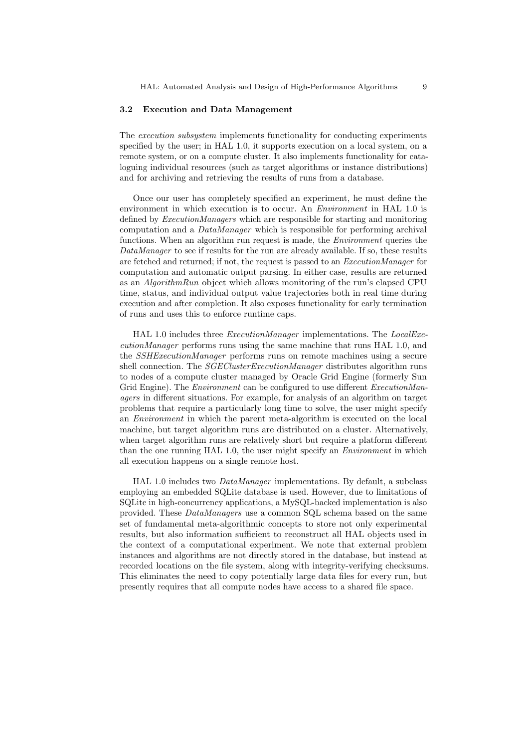#### 3.2 Execution and Data Management

The execution subsystem implements functionality for conducting experiments specified by the user; in HAL 1.0, it supports execution on a local system, on a remote system, or on a compute cluster. It also implements functionality for cataloguing individual resources (such as target algorithms or instance distributions) and for archiving and retrieving the results of runs from a database.

Once our user has completely specified an experiment, he must define the environment in which execution is to occur. An Environment in HAL 1.0 is defined by ExecutionManagers which are responsible for starting and monitoring computation and a DataManager which is responsible for performing archival functions. When an algorithm run request is made, the *Environment* queries the DataManager to see if results for the run are already available. If so, these results are fetched and returned; if not, the request is passed to an ExecutionManager for computation and automatic output parsing. In either case, results are returned as an AlgorithmRun object which allows monitoring of the run's elapsed CPU time, status, and individual output value trajectories both in real time during execution and after completion. It also exposes functionality for early termination of runs and uses this to enforce runtime caps.

HAL 1.0 includes three *ExecutionManager* implementations. The *LocalExe*cutionManager performs runs using the same machine that runs HAL 1.0, and the SSHExecutionManager performs runs on remote machines using a secure shell connection. The *SGEClusterExecutionManager* distributes algorithm runs to nodes of a compute cluster managed by Oracle Grid Engine (formerly Sun Grid Engine). The *Environment* can be configured to use different *ExecutionMan*agers in different situations. For example, for analysis of an algorithm on target problems that require a particularly long time to solve, the user might specify an Environment in which the parent meta-algorithm is executed on the local machine, but target algorithm runs are distributed on a cluster. Alternatively, when target algorithm runs are relatively short but require a platform different than the one running HAL 1.0, the user might specify an Environment in which all execution happens on a single remote host.

HAL 1.0 includes two DataManager implementations. By default, a subclass employing an embedded SQLite database is used. However, due to limitations of SQLite in high-concurrency applications, a MySQL-backed implementation is also provided. These DataManagers use a common SQL schema based on the same set of fundamental meta-algorithmic concepts to store not only experimental results, but also information sufficient to reconstruct all HAL objects used in the context of a computational experiment. We note that external problem instances and algorithms are not directly stored in the database, but instead at recorded locations on the file system, along with integrity-verifying checksums. This eliminates the need to copy potentially large data files for every run, but presently requires that all compute nodes have access to a shared file space.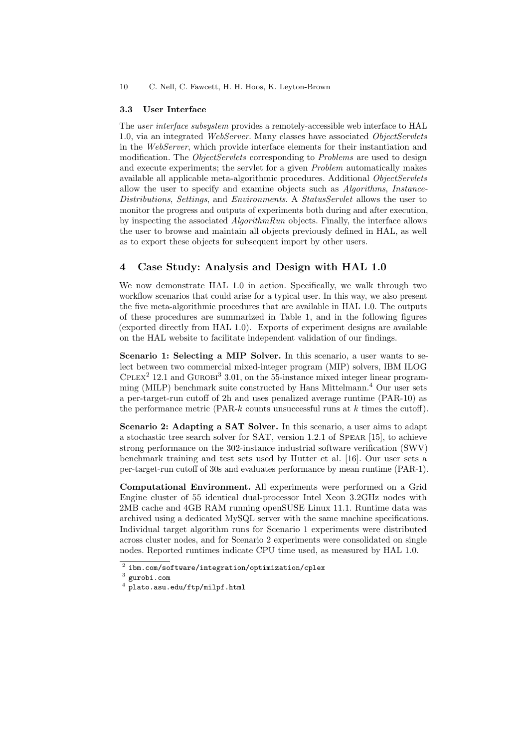#### 3.3 User Interface

The user interface subsystem provides a remotely-accessible web interface to HAL 1.0, via an integrated WebServer. Many classes have associated ObjectServlets in the WebServer, which provide interface elements for their instantiation and modification. The *ObjectServlets* corresponding to *Problems* are used to design and execute experiments; the servlet for a given Problem automatically makes available all applicable meta-algorithmic procedures. Additional ObjectServlets allow the user to specify and examine objects such as Algorithms, Instance-Distributions, Settings, and Environments. A StatusServlet allows the user to monitor the progress and outputs of experiments both during and after execution, by inspecting the associated AlgorithmRun objects. Finally, the interface allows the user to browse and maintain all objects previously defined in HAL, as well as to export these objects for subsequent import by other users.

# 4 Case Study: Analysis and Design with HAL 1.0

We now demonstrate HAL 1.0 in action. Specifically, we walk through two workflow scenarios that could arise for a typical user. In this way, we also present the five meta-algorithmic procedures that are available in HAL 1.0. The outputs of these procedures are summarized in Table 1, and in the following figures (exported directly from HAL 1.0). Exports of experiment designs are available on the HAL website to facilitate independent validation of our findings.

Scenario 1: Selecting a MIP Solver. In this scenario, a user wants to select between two commercial mixed-integer program (MIP) solvers, IBM ILOG  $CPEEx<sup>2</sup> 12.1$  and  $GUROBI<sup>3</sup> 3.01$ , on the 55-instance mixed integer linear programming (MILP) benchmark suite constructed by Hans Mittelmann.<sup>4</sup> Our user sets a per-target-run cutoff of 2h and uses penalized average runtime (PAR-10) as the performance metric (PAR-k counts unsuccessful runs at  $k$  times the cutoff).

Scenario 2: Adapting a SAT Solver. In this scenario, a user aims to adapt a stochastic tree search solver for SAT, version 1.2.1 of Spear [15], to achieve strong performance on the 302-instance industrial software verification (SWV) benchmark training and test sets used by Hutter et al. [16]. Our user sets a per-target-run cutoff of 30s and evaluates performance by mean runtime (PAR-1).

Computational Environment. All experiments were performed on a Grid Engine cluster of 55 identical dual-processor Intel Xeon 3.2GHz nodes with 2MB cache and 4GB RAM running openSUSE Linux 11.1. Runtime data was archived using a dedicated MySQL server with the same machine specifications. Individual target algorithm runs for Scenario 1 experiments were distributed across cluster nodes, and for Scenario 2 experiments were consolidated on single nodes. Reported runtimes indicate CPU time used, as measured by HAL 1.0.

 $^2$  ibm.com/software/integration/optimization/cplex

 $^3$  gurobi.com

 $^4$  plato.asu.edu/ftp/milpf.html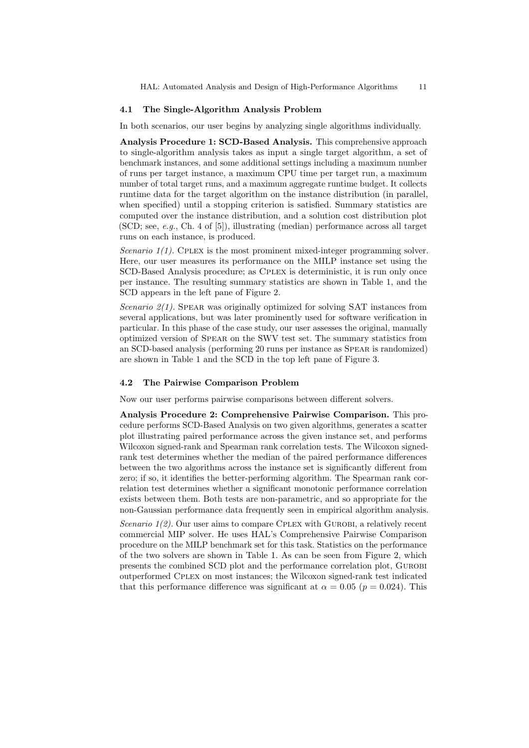#### 4.1 The Single-Algorithm Analysis Problem

In both scenarios, our user begins by analyzing single algorithms individually.

Analysis Procedure 1: SCD-Based Analysis. This comprehensive approach to single-algorithm analysis takes as input a single target algorithm, a set of benchmark instances, and some additional settings including a maximum number of runs per target instance, a maximum CPU time per target run, a maximum number of total target runs, and a maximum aggregate runtime budget. It collects runtime data for the target algorithm on the instance distribution (in parallel, when specified) until a stopping criterion is satisfied. Summary statistics are computed over the instance distribution, and a solution cost distribution plot (SCD; see, e.g., Ch. 4 of [5]), illustrating (median) performance across all target runs on each instance, is produced.

Scenario  $1(1)$ . CPLEX is the most prominent mixed-integer programming solver. Here, our user measures its performance on the MILP instance set using the SCD-Based Analysis procedure; as Cplex is deterministic, it is run only once per instance. The resulting summary statistics are shown in Table 1, and the SCD appears in the left pane of Figure 2.

Scenario  $2(1)$ . Spear was originally optimized for solving SAT instances from several applications, but was later prominently used for software verification in particular. In this phase of the case study, our user assesses the original, manually optimized version of Spear on the SWV test set. The summary statistics from an SCD-based analysis (performing 20 runs per instance as Spear is randomized) are shown in Table 1 and the SCD in the top left pane of Figure 3.

#### 4.2 The Pairwise Comparison Problem

Now our user performs pairwise comparisons between different solvers.

Analysis Procedure 2: Comprehensive Pairwise Comparison. This procedure performs SCD-Based Analysis on two given algorithms, generates a scatter plot illustrating paired performance across the given instance set, and performs Wilcoxon signed-rank and Spearman rank correlation tests. The Wilcoxon signedrank test determines whether the median of the paired performance differences between the two algorithms across the instance set is significantly different from zero; if so, it identifies the better-performing algorithm. The Spearman rank correlation test determines whether a significant monotonic performance correlation exists between them. Both tests are non-parametric, and so appropriate for the non-Gaussian performance data frequently seen in empirical algorithm analysis.

Scenario  $1(2)$ . Our user aims to compare CPLEX with GUROBI, a relatively recent commercial MIP solver. He uses HAL's Comprehensive Pairwise Comparison procedure on the MILP benchmark set for this task. Statistics on the performance of the two solvers are shown in Table 1. As can be seen from Figure 2, which presents the combined SCD plot and the performance correlation plot, Gurobi outperformed Cplex on most instances; the Wilcoxon signed-rank test indicated that this performance difference was significant at  $\alpha = 0.05$  ( $p = 0.024$ ). This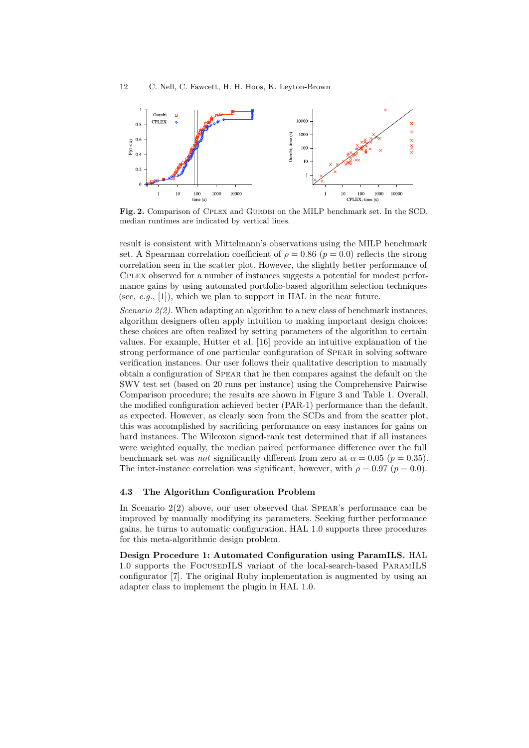

Fig. 2. Comparison of Cplex and Gurobi on the MILP benchmark set. In the SCD, median runtimes are indicated by vertical lines.

result is consistent with Mittelmann's observations using the MILP benchmark set. A Spearman correlation coefficient of  $\rho = 0.86$  ( $p = 0.0$ ) reflects the strong correlation seen in the scatter plot. However, the slightly better performance of Cplex observed for a number of instances suggests a potential for modest performance gains by using automated portfolio-based algorithm selection techniques (see, e.g.,  $[1]$ ), which we plan to support in HAL in the near future.

Scenario  $2(2)$ . When adapting an algorithm to a new class of benchmark instances, algorithm designers often apply intuition to making important design choices; these choices are often realized by setting parameters of the algorithm to certain values. For example, Hutter et al. [16] provide an intuitive explanation of the strong performance of one particular configuration of Spear in solving software verification instances. Our user follows their qualitative description to manually obtain a configuration of Spear that he then compares against the default on the SWV test set (based on 20 runs per instance) using the Comprehensive Pairwise Comparison procedure; the results are shown in Figure 3 and Table 1. Overall, the modified configuration achieved better (PAR-1) performance than the default, as expected. However, as clearly seen from the SCDs and from the scatter plot, this was accomplished by sacrificing performance on easy instances for gains on hard instances. The Wilcoxon signed-rank test determined that if all instances were weighted equally, the median paired performance difference over the full benchmark set was not significantly different from zero at  $\alpha = 0.05$  ( $p = 0.35$ ). The inter-instance correlation was significant, however, with  $\rho = 0.97$  ( $p = 0.0$ ).

# 4.3 The Algorithm Configuration Problem

In Scenario 2(2) above, our user observed that Spear's performance can be improved by manually modifying its parameters. Seeking further performance gains, he turns to automatic configuration. HAL 1.0 supports three procedures for this meta-algorithmic design problem.

Design Procedure 1: Automated Configuration using ParamILS. HAL 1.0 supports the FocusedILS variant of the local-search-based ParamILS configurator [7]. The original Ruby implementation is augmented by using an adapter class to implement the plugin in HAL 1.0.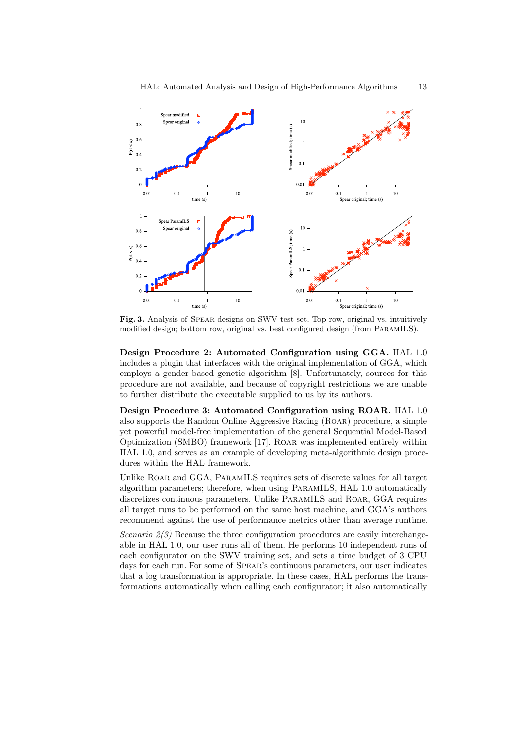

Fig. 3. Analysis of Spear designs on SWV test set. Top row, original vs. intuitively modified design; bottom row, original vs. best configured design (from ParamILS).

Design Procedure 2: Automated Configuration using GGA. HAL 1.0 includes a plugin that interfaces with the original implementation of GGA, which employs a gender-based genetic algorithm [8]. Unfortunately, sources for this procedure are not available, and because of copyright restrictions we are unable to further distribute the executable supplied to us by its authors.

Design Procedure 3: Automated Configuration using ROAR. HAL 1.0 also supports the Random Online Aggressive Racing (Roar) procedure, a simple yet powerful model-free implementation of the general Sequential Model-Based Optimization (SMBO) framework [17]. Roar was implemented entirely within HAL 1.0, and serves as an example of developing meta-algorithmic design procedures within the HAL framework.

Unlike Roar and GGA, ParamILS requires sets of discrete values for all target algorithm parameters; therefore, when using ParamILS, HAL 1.0 automatically discretizes continuous parameters. Unlike ParamILS and Roar, GGA requires all target runs to be performed on the same host machine, and GGA's authors recommend against the use of performance metrics other than average runtime.

Scenario  $2(3)$  Because the three configuration procedures are easily interchangeable in HAL 1.0, our user runs all of them. He performs 10 independent runs of each configurator on the SWV training set, and sets a time budget of 3 CPU days for each run. For some of Spear's continuous parameters, our user indicates that a log transformation is appropriate. In these cases, HAL performs the transformations automatically when calling each configurator; it also automatically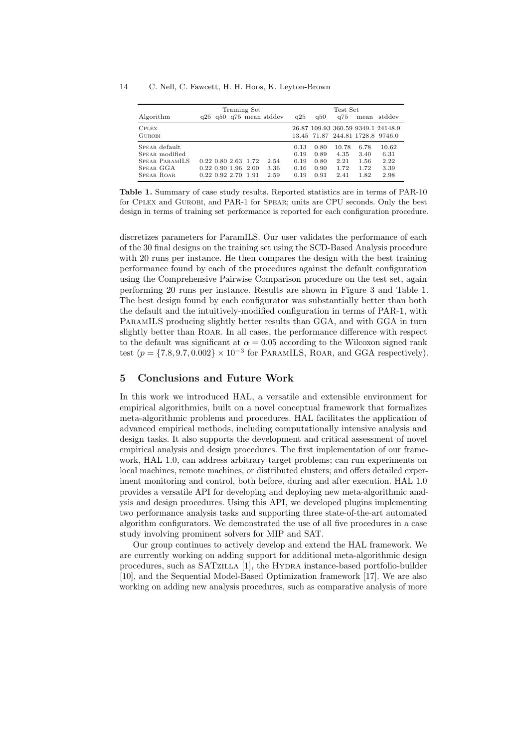#### 14 C. Nell, C. Fawcett, H. H. Hoos, K. Leyton-Brown

| Algorithm                                                                                  | Training Set<br>$q25$ $q50$ $q75$ mean stddev                                                                | Test Set<br>a25<br>a75<br>a50<br>stddev<br>mean                                                                                                                                                        |
|--------------------------------------------------------------------------------------------|--------------------------------------------------------------------------------------------------------------|--------------------------------------------------------------------------------------------------------------------------------------------------------------------------------------------------------|
| <b>CPLEX</b><br><b>GUROBI</b>                                                              |                                                                                                              | 26.87 109.93 360.59 9349.1 24148.9<br>13.45 71.87 244.81 1728.8 9746.0                                                                                                                                 |
| SPEAR default<br>SPEAR modified<br><b>SPEAR PARAMILS</b><br>SPEAR GGA<br><b>SPEAR ROAR</b> | $0.22$ $0.80$ $2.63$ $1.72$<br>2.54<br>3.36<br>$0.22$ 0.90 1.96 2.00<br>$0.22$ $0.92$ $2.70$<br>2.59<br>1.91 | 10.62<br>6.78<br>0.80<br>0.13<br>10.78<br>0.19<br>0.89<br>4.35<br>6.31<br>3.40<br>2.22<br>0.80<br>2.21<br>1.56<br>0.19<br>3.39<br>1.72<br>1.72<br>0.16<br>0.90<br>2.98<br>1.82<br>0.19<br>0.91<br>2.41 |

Table 1. Summary of case study results. Reported statistics are in terms of PAR-10 for Cplex and Gurobi, and PAR-1 for Spear; units are CPU seconds. Only the best design in terms of training set performance is reported for each configuration procedure.

discretizes parameters for ParamILS. Our user validates the performance of each of the 30 final designs on the training set using the SCD-Based Analysis procedure with 20 runs per instance. He then compares the design with the best training performance found by each of the procedures against the default configuration using the Comprehensive Pairwise Comparison procedure on the test set, again performing 20 runs per instance. Results are shown in Figure 3 and Table 1. The best design found by each configurator was substantially better than both the default and the intuitively-modified configuration in terms of PAR-1, with ParamILS producing slightly better results than GGA, and with GGA in turn slightly better than ROAR. In all cases, the performance difference with respect to the default was significant at  $\alpha = 0.05$  according to the Wilcoxon signed rank test  $(p = \{7.8, 9.7, 0.002\} \times 10^{-3}$  for PARAMILS, ROAR, and GGA respectively).

### 5 Conclusions and Future Work

In this work we introduced HAL, a versatile and extensible environment for empirical algorithmics, built on a novel conceptual framework that formalizes meta-algorithmic problems and procedures. HAL facilitates the application of advanced empirical methods, including computationally intensive analysis and design tasks. It also supports the development and critical assessment of novel empirical analysis and design procedures. The first implementation of our framework, HAL 1.0, can address arbitrary target problems; can run experiments on local machines, remote machines, or distributed clusters; and offers detailed experiment monitoring and control, both before, during and after execution. HAL 1.0 provides a versatile API for developing and deploying new meta-algorithmic analysis and design procedures. Using this API, we developed plugins implementing two performance analysis tasks and supporting three state-of-the-art automated algorithm configurators. We demonstrated the use of all five procedures in a case study involving prominent solvers for MIP and SAT.

Our group continues to actively develop and extend the HAL framework. We are currently working on adding support for additional meta-algorithmic design procedures, such as SATzilla [1], the Hydra instance-based portfolio-builder [10], and the Sequential Model-Based Optimization framework [17]. We are also working on adding new analysis procedures, such as comparative analysis of more